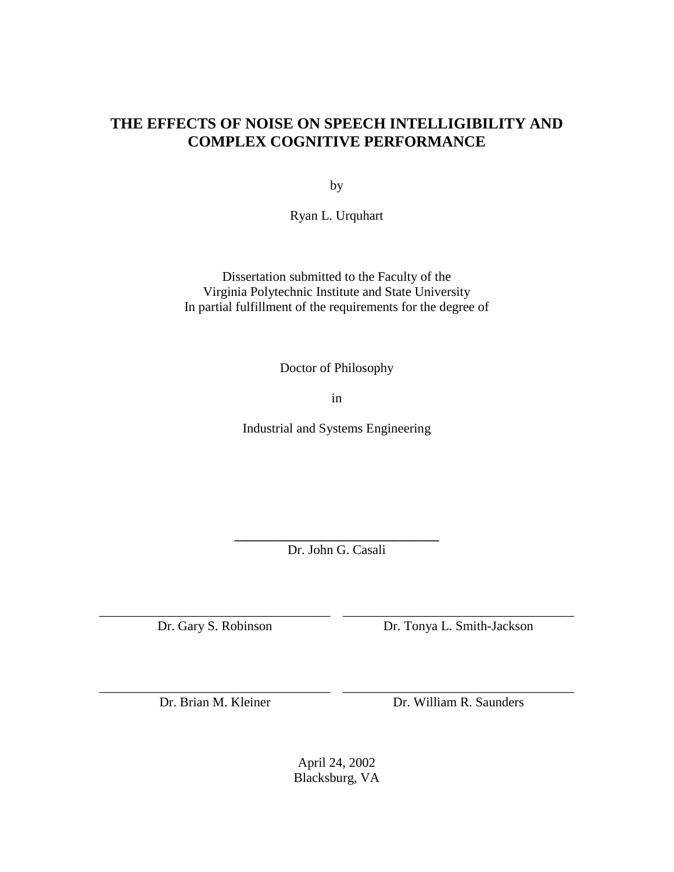# **THE EFFECTS OF NOISE ON SPEECH INTELLIGIBILITY AND COMPLEX COGNITIVE PERFORMANCE**

by

Ryan L. Urquhart

Dissertation submitted to the Faculty of the Virginia Polytechnic Institute and State University In partial fulfillment of the requirements for the degree of

Doctor of Philosophy

in

Industrial and Systems Engineering

**\_\_\_\_\_\_\_\_\_\_\_\_\_\_\_\_\_\_\_\_\_\_\_\_\_\_\_\_\_\_\_**  Dr. John G. Casali

\_\_\_\_\_\_\_\_\_\_\_\_\_\_\_\_\_\_\_\_\_\_\_\_\_\_\_\_\_\_\_\_\_\_\_ \_\_\_\_\_\_\_\_\_\_\_\_\_\_\_\_\_\_\_\_\_\_\_\_\_\_\_\_\_\_\_\_\_\_\_

\_\_\_\_\_\_\_\_\_\_\_\_\_\_\_\_\_\_\_\_\_\_\_\_\_\_\_\_\_\_\_\_\_\_\_ \_\_\_\_\_\_\_\_\_\_\_\_\_\_\_\_\_\_\_\_\_\_\_\_\_\_\_\_\_\_\_\_\_\_\_

Dr. Gary S. Robinson Dr. Tonya L. Smith-Jackson

Dr. Brian M. Kleiner Dr. William R. Saunders

April 24, 2002 Blacksburg, VA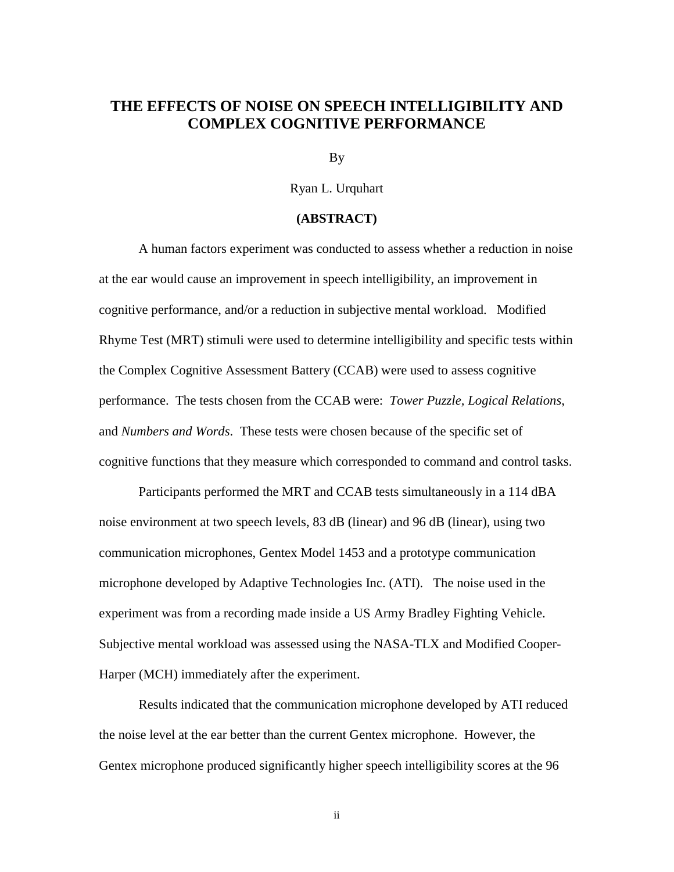### **THE EFFECTS OF NOISE ON SPEECH INTELLIGIBILITY AND COMPLEX COGNITIVE PERFORMANCE**

By

Ryan L. Urquhart

### **(ABSTRACT)**

A human factors experiment was conducted to assess whether a reduction in noise at the ear would cause an improvement in speech intelligibility, an improvement in cognitive performance, and/or a reduction in subjective mental workload. Modified Rhyme Test (MRT) stimuli were used to determine intelligibility and specific tests within the Complex Cognitive Assessment Battery (CCAB) were used to assess cognitive performance. The tests chosen from the CCAB were: *Tower Puzzle, Logical Relations*, and *Numbers and Words*. These tests were chosen because of the specific set of cognitive functions that they measure which corresponded to command and control tasks.

Participants performed the MRT and CCAB tests simultaneously in a 114 dBA noise environment at two speech levels, 83 dB (linear) and 96 dB (linear), using two communication microphones, Gentex Model 1453 and a prototype communication microphone developed by Adaptive Technologies Inc. (ATI). The noise used in the experiment was from a recording made inside a US Army Bradley Fighting Vehicle. Subjective mental workload was assessed using the NASA-TLX and Modified Cooper-Harper (MCH) immediately after the experiment.

Results indicated that the communication microphone developed by ATI reduced the noise level at the ear better than the current Gentex microphone. However, the Gentex microphone produced significantly higher speech intelligibility scores at the 96

ii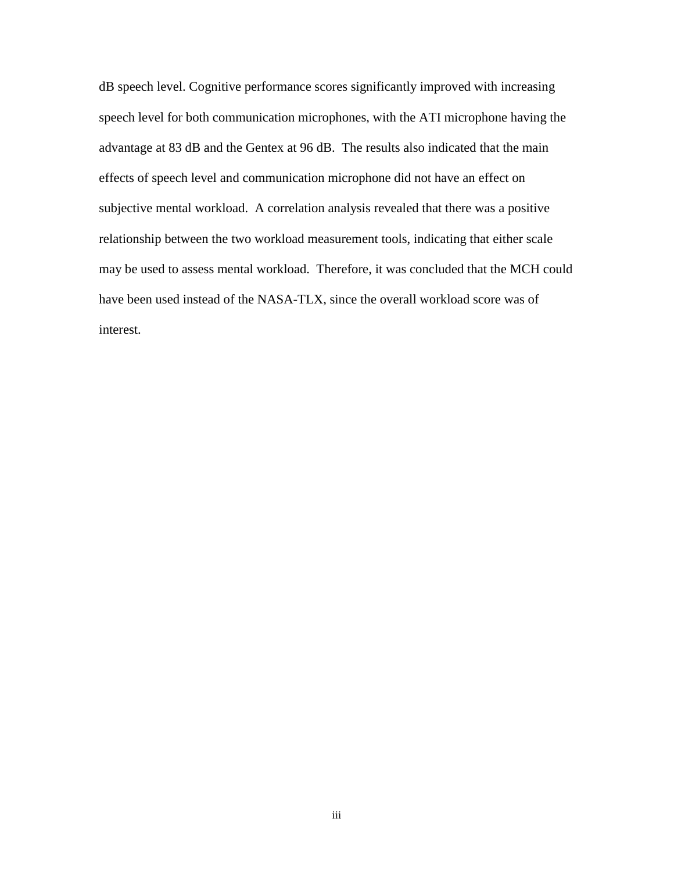dB speech level. Cognitive performance scores significantly improved with increasing speech level for both communication microphones, with the ATI microphone having the advantage at 83 dB and the Gentex at 96 dB. The results also indicated that the main effects of speech level and communication microphone did not have an effect on subjective mental workload. A correlation analysis revealed that there was a positive relationship between the two workload measurement tools, indicating that either scale may be used to assess mental workload. Therefore, it was concluded that the MCH could have been used instead of the NASA-TLX, since the overall workload score was of interest.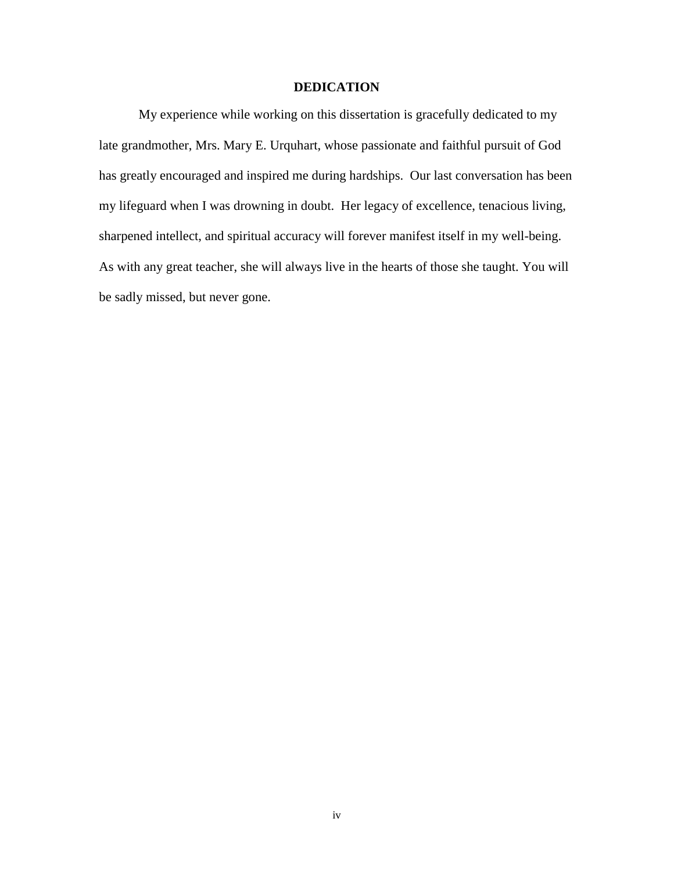### **DEDICATION**

My experience while working on this dissertation is gracefully dedicated to my late grandmother, Mrs. Mary E. Urquhart, whose passionate and faithful pursuit of God has greatly encouraged and inspired me during hardships. Our last conversation has been my lifeguard when I was drowning in doubt. Her legacy of excellence, tenacious living, sharpened intellect, and spiritual accuracy will forever manifest itself in my well-being. As with any great teacher, she will always live in the hearts of those she taught. You will be sadly missed, but never gone.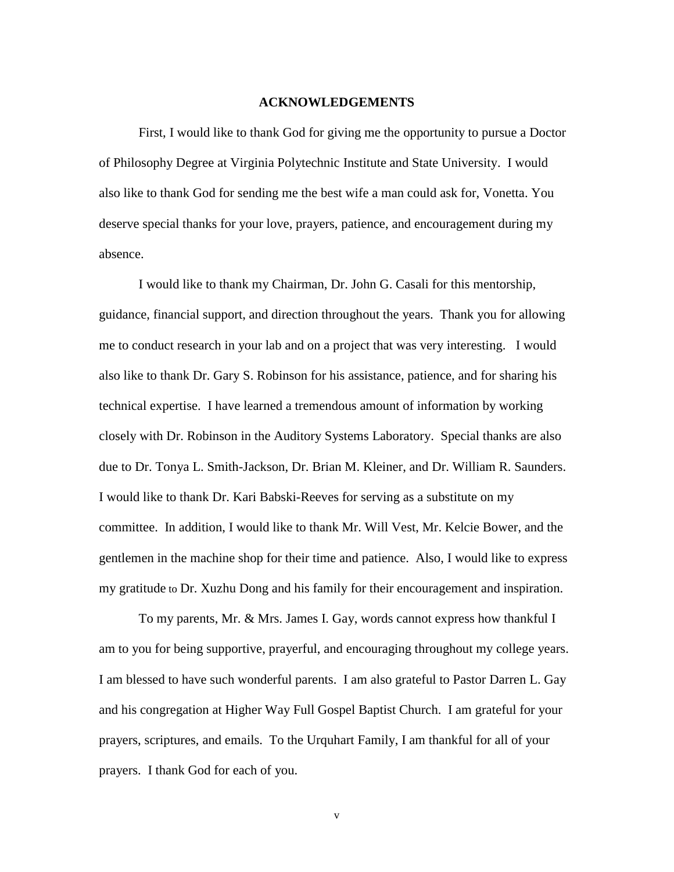#### **ACKNOWLEDGEMENTS**

First, I would like to thank God for giving me the opportunity to pursue a Doctor of Philosophy Degree at Virginia Polytechnic Institute and State University. I would also like to thank God for sending me the best wife a man could ask for, Vonetta. You deserve special thanks for your love, prayers, patience, and encouragement during my absence.

I would like to thank my Chairman, Dr. John G. Casali for this mentorship, guidance, financial support, and direction throughout the years. Thank you for allowing me to conduct research in your lab and on a project that was very interesting. I would also like to thank Dr. Gary S. Robinson for his assistance, patience, and for sharing his technical expertise. I have learned a tremendous amount of information by working closely with Dr. Robinson in the Auditory Systems Laboratory. Special thanks are also due to Dr. Tonya L. Smith-Jackson, Dr. Brian M. Kleiner, and Dr. William R. Saunders. I would like to thank Dr. Kari Babski-Reeves for serving as a substitute on my committee. In addition, I would like to thank Mr. Will Vest, Mr. Kelcie Bower, and the gentlemen in the machine shop for their time and patience. Also, I would like to express my gratitude to Dr. Xuzhu Dong and his family for their encouragement and inspiration.

To my parents, Mr. & Mrs. James I. Gay, words cannot express how thankful I am to you for being supportive, prayerful, and encouraging throughout my college years. I am blessed to have such wonderful parents. I am also grateful to Pastor Darren L. Gay and his congregation at Higher Way Full Gospel Baptist Church. I am grateful for your prayers, scriptures, and emails. To the Urquhart Family, I am thankful for all of your prayers. I thank God for each of you.

v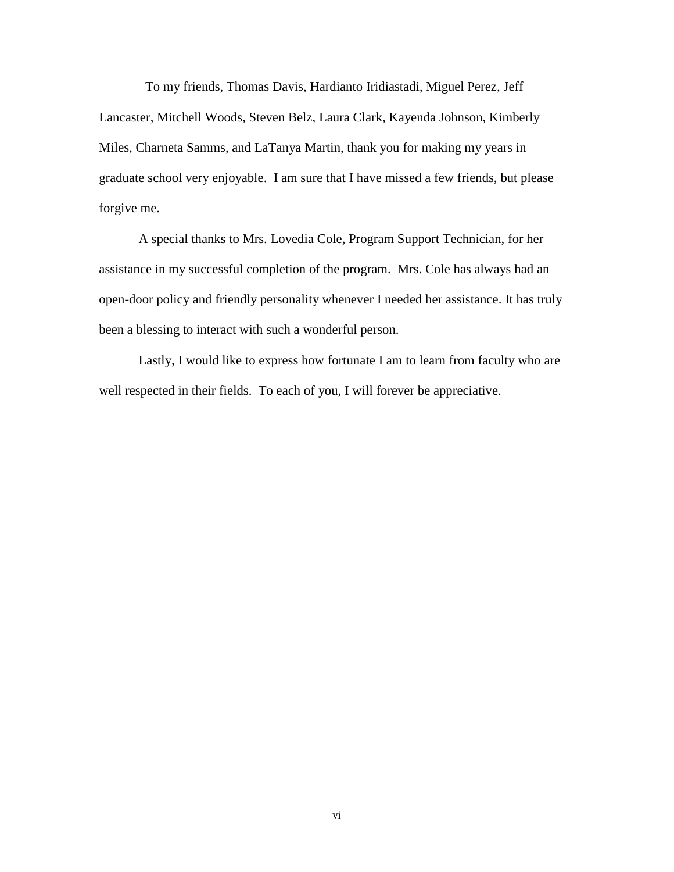To my friends, Thomas Davis, Hardianto Iridiastadi, Miguel Perez, Jeff Lancaster, Mitchell Woods, Steven Belz, Laura Clark, Kayenda Johnson, Kimberly Miles, Charneta Samms, and LaTanya Martin, thank you for making my years in graduate school very enjoyable. I am sure that I have missed a few friends, but please forgive me.

A special thanks to Mrs. Lovedia Cole, Program Support Technician, for her assistance in my successful completion of the program. Mrs. Cole has always had an open-door policy and friendly personality whenever I needed her assistance. It has truly been a blessing to interact with such a wonderful person.

Lastly, I would like to express how fortunate I am to learn from faculty who are well respected in their fields. To each of you, I will forever be appreciative.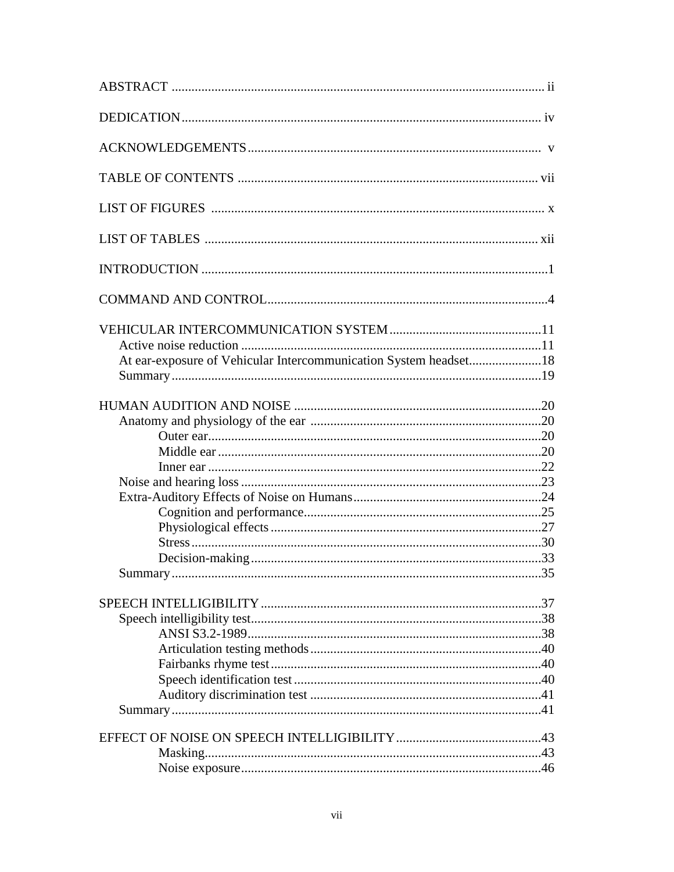| At ear-exposure of Vehicular Intercommunication System headset18 |  |
|------------------------------------------------------------------|--|
|                                                                  |  |
|                                                                  |  |
|                                                                  |  |
|                                                                  |  |
|                                                                  |  |
|                                                                  |  |
|                                                                  |  |
|                                                                  |  |
|                                                                  |  |
|                                                                  |  |
|                                                                  |  |
|                                                                  |  |
|                                                                  |  |
|                                                                  |  |
|                                                                  |  |
|                                                                  |  |
|                                                                  |  |
|                                                                  |  |
|                                                                  |  |
|                                                                  |  |
|                                                                  |  |
|                                                                  |  |
|                                                                  |  |
|                                                                  |  |
|                                                                  |  |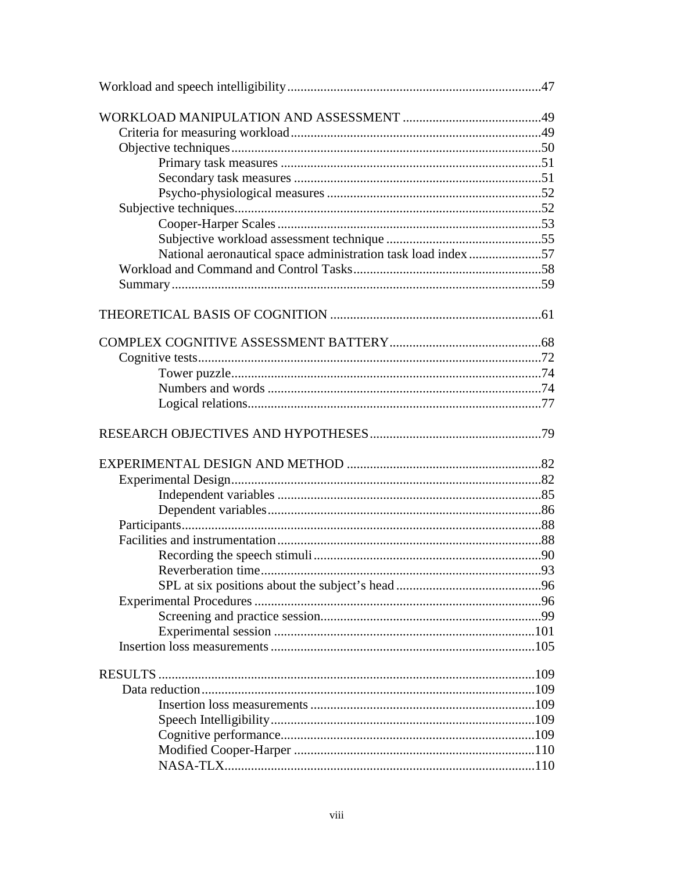| National aeronautical space administration task load index57 |  |
|--------------------------------------------------------------|--|
|                                                              |  |
|                                                              |  |
|                                                              |  |
|                                                              |  |
|                                                              |  |
|                                                              |  |
|                                                              |  |
|                                                              |  |
|                                                              |  |
|                                                              |  |
|                                                              |  |
|                                                              |  |
|                                                              |  |
|                                                              |  |
|                                                              |  |
|                                                              |  |
|                                                              |  |
| Reverberation time                                           |  |
|                                                              |  |
|                                                              |  |
|                                                              |  |
|                                                              |  |
|                                                              |  |
|                                                              |  |
|                                                              |  |
|                                                              |  |
|                                                              |  |
|                                                              |  |
|                                                              |  |
|                                                              |  |
|                                                              |  |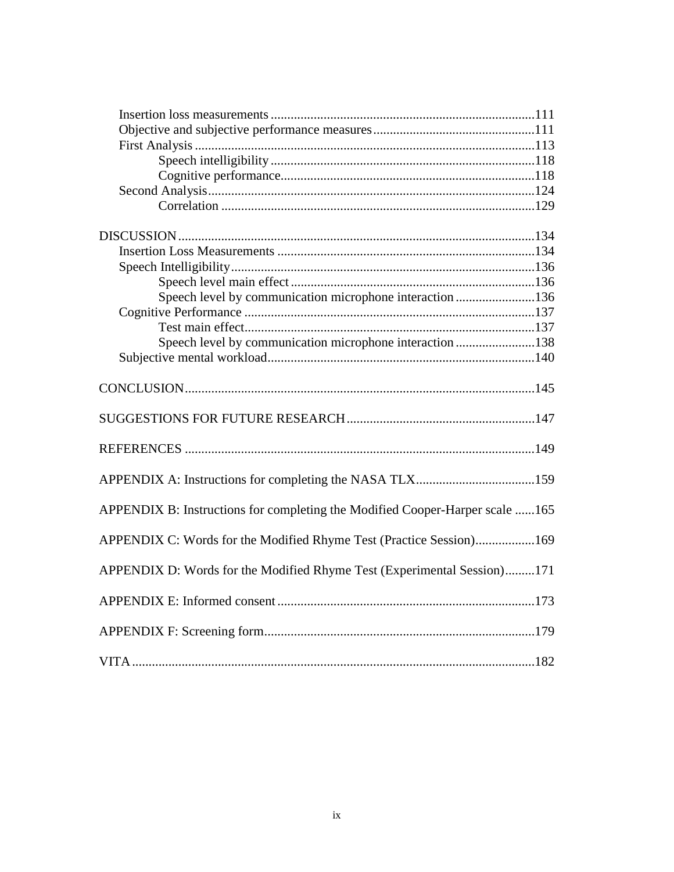| Speech level by communication microphone interaction 136                     |  |
|------------------------------------------------------------------------------|--|
|                                                                              |  |
|                                                                              |  |
| Speech level by communication microphone interaction 138                     |  |
|                                                                              |  |
|                                                                              |  |
|                                                                              |  |
|                                                                              |  |
|                                                                              |  |
| APPENDIX B: Instructions for completing the Modified Cooper-Harper scale 165 |  |
| APPENDIX C: Words for the Modified Rhyme Test (Practice Session)169          |  |
| APPENDIX D: Words for the Modified Rhyme Test (Experimental Session)171      |  |
|                                                                              |  |
|                                                                              |  |
|                                                                              |  |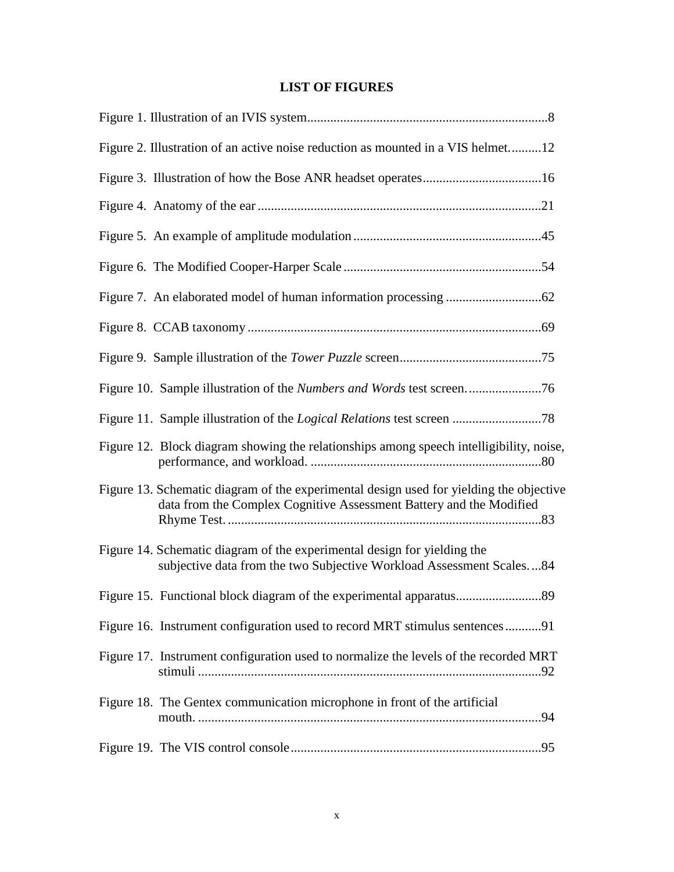## **LIST OF FIGURES**

| Figure 2. Illustration of an active noise reduction as mounted in a VIS helmet12                                                                               |
|----------------------------------------------------------------------------------------------------------------------------------------------------------------|
|                                                                                                                                                                |
|                                                                                                                                                                |
|                                                                                                                                                                |
|                                                                                                                                                                |
|                                                                                                                                                                |
|                                                                                                                                                                |
|                                                                                                                                                                |
|                                                                                                                                                                |
|                                                                                                                                                                |
| Figure 12. Block diagram showing the relationships among speech intelligibility, noise,                                                                        |
| Figure 13. Schematic diagram of the experimental design used for yielding the objective<br>data from the Complex Cognitive Assessment Battery and the Modified |
| Figure 14. Schematic diagram of the experimental design for yielding the<br>subjective data from the two Subjective Workload Assessment Scales84               |
|                                                                                                                                                                |
| Figure 16. Instrument configuration used to record MRT stimulus sentences91                                                                                    |
| Figure 17. Instrument configuration used to normalize the levels of the recorded MRT                                                                           |
| Figure 18. The Gentex communication microphone in front of the artificial                                                                                      |
|                                                                                                                                                                |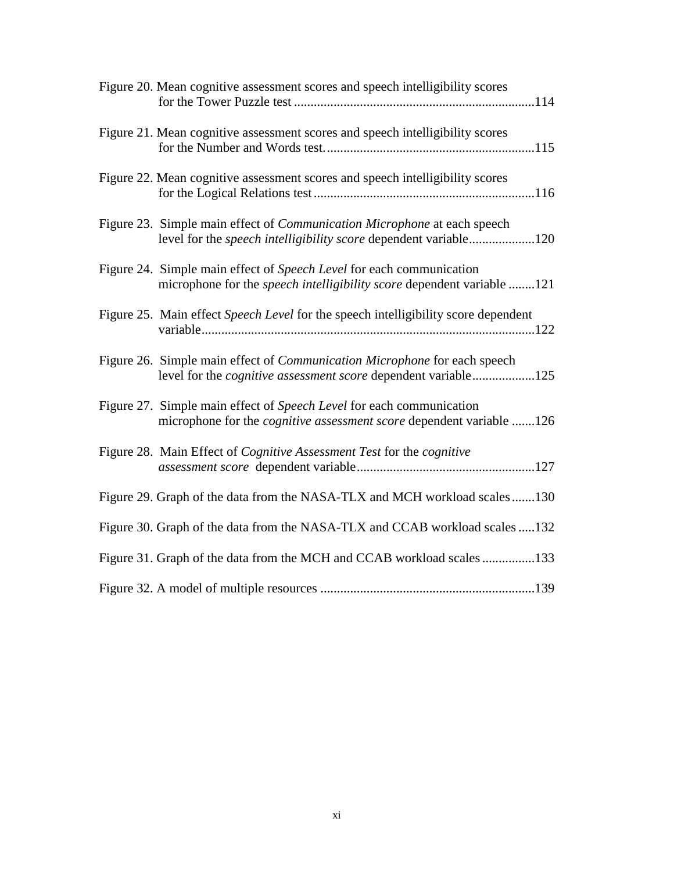| Figure 20. Mean cognitive assessment scores and speech intelligibility scores                                                                              |
|------------------------------------------------------------------------------------------------------------------------------------------------------------|
| Figure 21. Mean cognitive assessment scores and speech intelligibility scores                                                                              |
| Figure 22. Mean cognitive assessment scores and speech intelligibility scores                                                                              |
| Figure 23. Simple main effect of <i>Communication Microphone</i> at each speech<br>level for the <i>speech intelligibility score</i> dependent variable120 |
| Figure 24. Simple main effect of Speech Level for each communication<br>microphone for the speech intelligibility score dependent variable 121             |
| Figure 25. Main effect Speech Level for the speech intelligibility score dependent                                                                         |
| Figure 26. Simple main effect of Communication Microphone for each speech<br>level for the <i>cognitive assessment score</i> dependent variable125         |
| Figure 27. Simple main effect of Speech Level for each communication<br>microphone for the <i>cognitive assessment score</i> dependent variable 126        |
| Figure 28. Main Effect of <i>Cognitive Assessment Test</i> for the <i>cognitive</i>                                                                        |
| Figure 29. Graph of the data from the NASA-TLX and MCH workload scales130                                                                                  |
| Figure 30. Graph of the data from the NASA-TLX and CCAB workload scales 132                                                                                |
| Figure 31. Graph of the data from the MCH and CCAB workload scales 133                                                                                     |
|                                                                                                                                                            |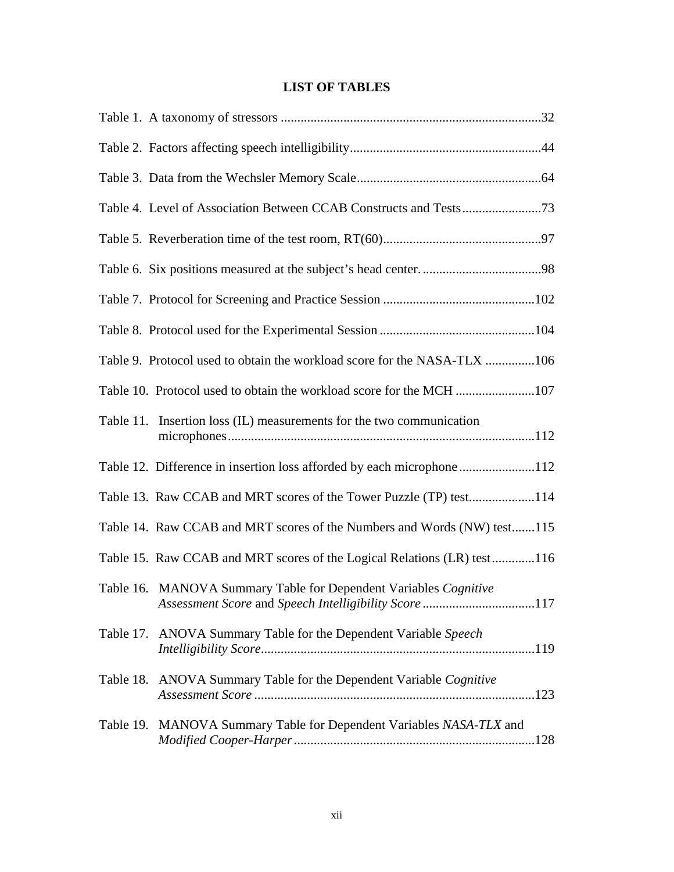## **LIST OF TABLES**

| Table 9. Protocol used to obtain the workload score for the NASA-TLX 106                                                  |  |
|---------------------------------------------------------------------------------------------------------------------------|--|
| Table 10. Protocol used to obtain the workload score for the MCH 107                                                      |  |
| Table 11. Insertion loss (IL) measurements for the two communication                                                      |  |
| Table 12. Difference in insertion loss afforded by each microphone112                                                     |  |
| Table 13. Raw CCAB and MRT scores of the Tower Puzzle (TP) test114                                                        |  |
| Table 14. Raw CCAB and MRT scores of the Numbers and Words (NW) test115                                                   |  |
| Table 15. Raw CCAB and MRT scores of the Logical Relations (LR) test116                                                   |  |
| Table 16. MANOVA Summary Table for Dependent Variables Cognitive<br>Assessment Score and Speech Intelligibility Score 117 |  |
| Table 17. ANOVA Summary Table for the Dependent Variable Speech                                                           |  |
| Table 18. ANOVA Summary Table for the Dependent Variable Cognitive                                                        |  |
| Table 19. MANOVA Summary Table for Dependent Variables NASA-TLX and                                                       |  |